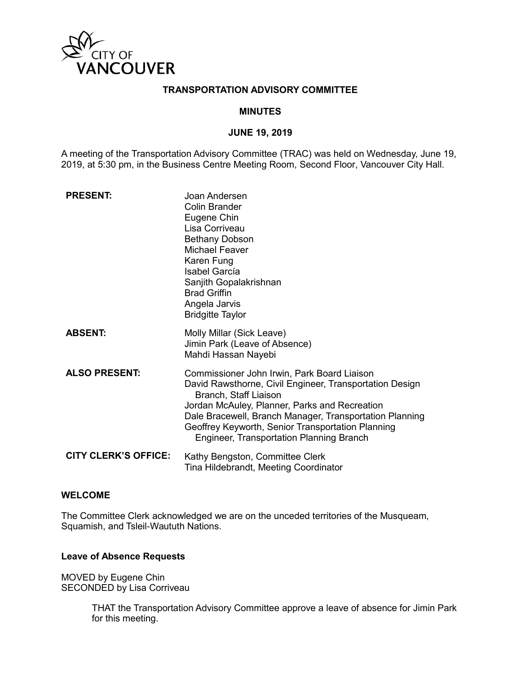

#### **TRANSPORTATION ADVISORY COMMITTEE**

#### **MINUTES**

#### **JUNE 19, 2019**

A meeting of the Transportation Advisory Committee (TRAC) was held on Wednesday, June 19, 2019, at 5:30 pm, in the Business Centre Meeting Room, Second Floor, Vancouver City Hall.

| <b>PRESENT:</b>             | Joan Andersen<br><b>Colin Brander</b><br>Eugene Chin<br>Lisa Corriveau<br><b>Bethany Dobson</b><br><b>Michael Feaver</b><br>Karen Fung<br><b>Isabel García</b><br>Sanjith Gopalakrishnan<br><b>Brad Griffin</b><br>Angela Jarvis<br><b>Bridgitte Taylor</b>                                                                                         |
|-----------------------------|-----------------------------------------------------------------------------------------------------------------------------------------------------------------------------------------------------------------------------------------------------------------------------------------------------------------------------------------------------|
| <b>ABSENT:</b>              | Molly Millar (Sick Leave)<br>Jimin Park (Leave of Absence)<br>Mahdi Hassan Nayebi                                                                                                                                                                                                                                                                   |
| <b>ALSO PRESENT:</b>        | Commissioner John Irwin, Park Board Liaison<br>David Rawsthorne, Civil Engineer, Transportation Design<br>Branch, Staff Liaison<br>Jordan McAuley, Planner, Parks and Recreation<br>Dale Bracewell, Branch Manager, Transportation Planning<br>Geoffrey Keyworth, Senior Transportation Planning<br><b>Engineer, Transportation Planning Branch</b> |
| <b>CITY CLERK'S OFFICE:</b> | Kathy Bengston, Committee Clerk<br>Tina Hildebrandt, Meeting Coordinator                                                                                                                                                                                                                                                                            |

#### **WELCOME**

The Committee Clerk acknowledged we are on the unceded territories of the Musqueam, Squamish, and Tsleil-Waututh Nations.

#### **Leave of Absence Requests**

MOVED by Eugene Chin SECONDED by Lisa Corriveau

> THAT the Transportation Advisory Committee approve a leave of absence for Jimin Park for this meeting.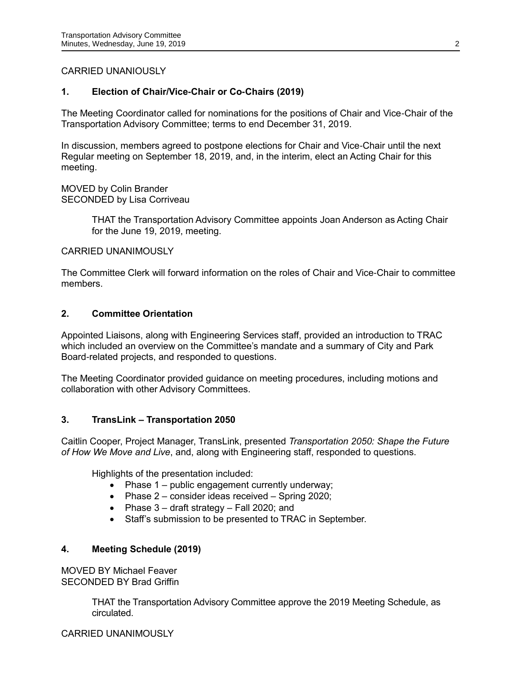## CARRIED UNANIOUSLY

## **1. Election of Chair/Vice-Chair or Co-Chairs (2019)**

The Meeting Coordinator called for nominations for the positions of Chair and Vice-Chair of the Transportation Advisory Committee; terms to end December 31, 2019.

In discussion, members agreed to postpone elections for Chair and Vice-Chair until the next Regular meeting on September 18, 2019, and, in the interim, elect an Acting Chair for this meeting.

MOVED by Colin Brander SECONDED by Lisa Corriveau

> THAT the Transportation Advisory Committee appoints Joan Anderson as Acting Chair for the June 19, 2019, meeting.

CARRIED UNANIMOUSLY

The Committee Clerk will forward information on the roles of Chair and Vice-Chair to committee members.

## **2. Committee Orientation**

Appointed Liaisons, along with Engineering Services staff, provided an introduction to TRAC which included an overview on the Committee's mandate and a summary of City and Park Board-related projects, and responded to questions.

The Meeting Coordinator provided guidance on meeting procedures, including motions and collaboration with other Advisory Committees.

## **3. TransLink – Transportation 2050**

Caitlin Cooper, Project Manager, TransLink, presented *Transportation 2050: Shape the Future of How We Move and Live*, and, along with Engineering staff, responded to questions.

Highlights of the presentation included:

- Phase 1 public engagement currently underway;
- Phase  $2$  consider ideas received Spring 2020;
- Phase  $3 -$  draft strategy  $-$  Fall 2020; and
- Staff's submission to be presented to TRAC in September.

## **4. Meeting Schedule (2019)**

MOVED BY Michael Feaver SECONDED BY Brad Griffin

> THAT the Transportation Advisory Committee approve the 2019 Meeting Schedule, as circulated.